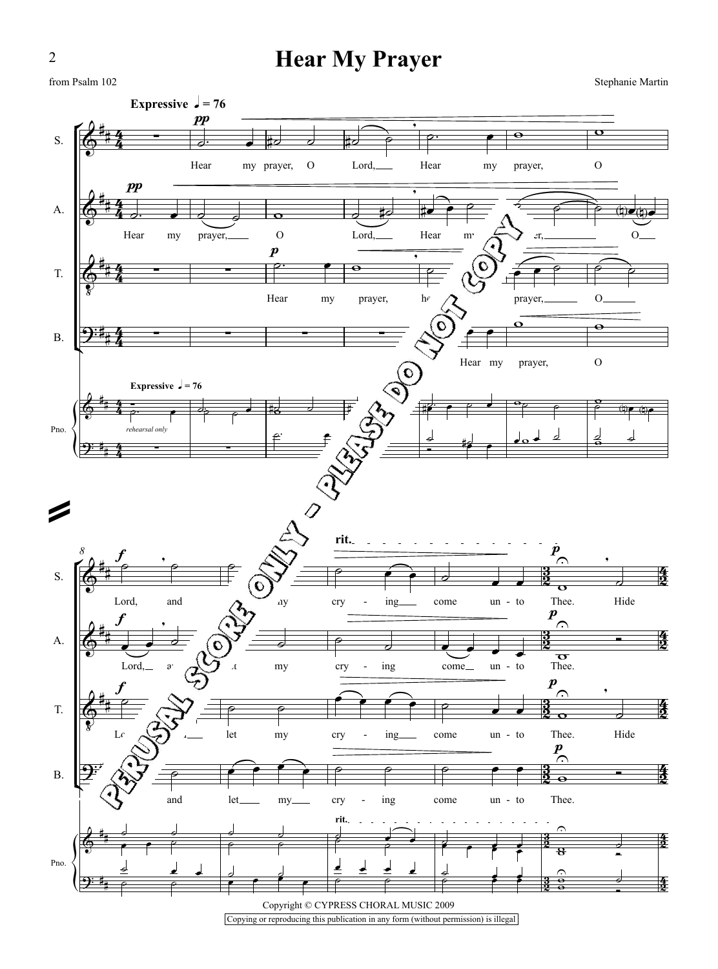**Hear My Prayer**

from Psalm 102 Stephanie Martin

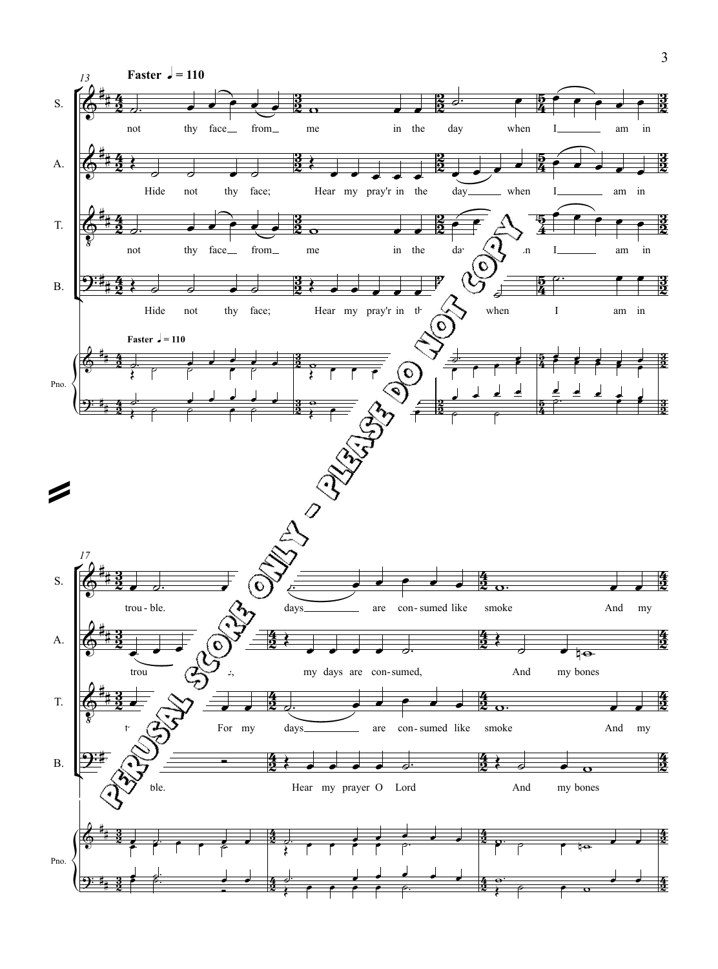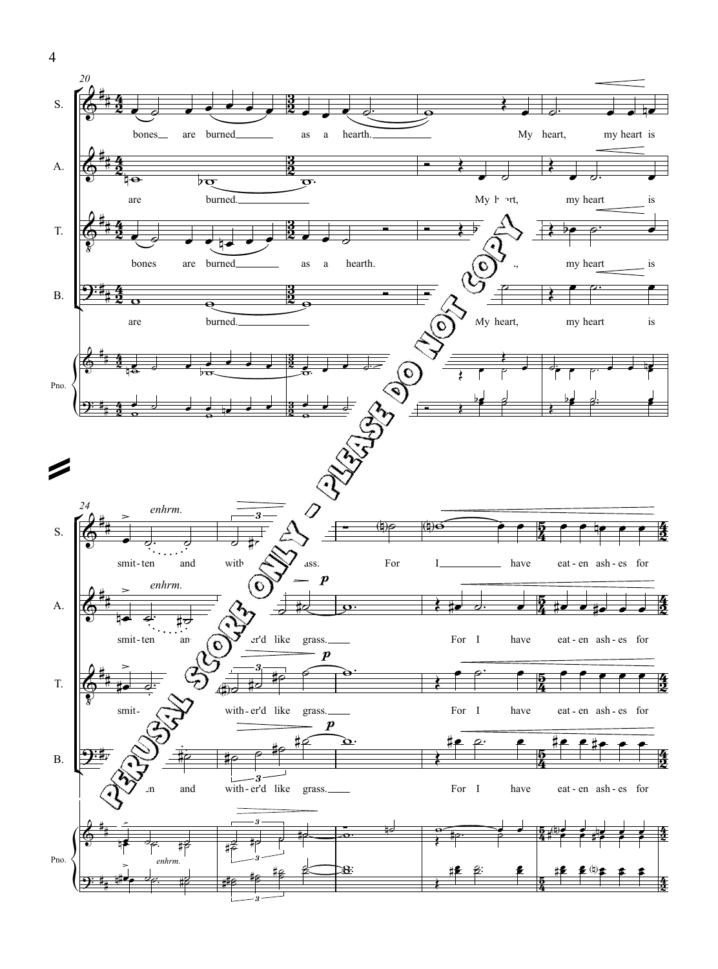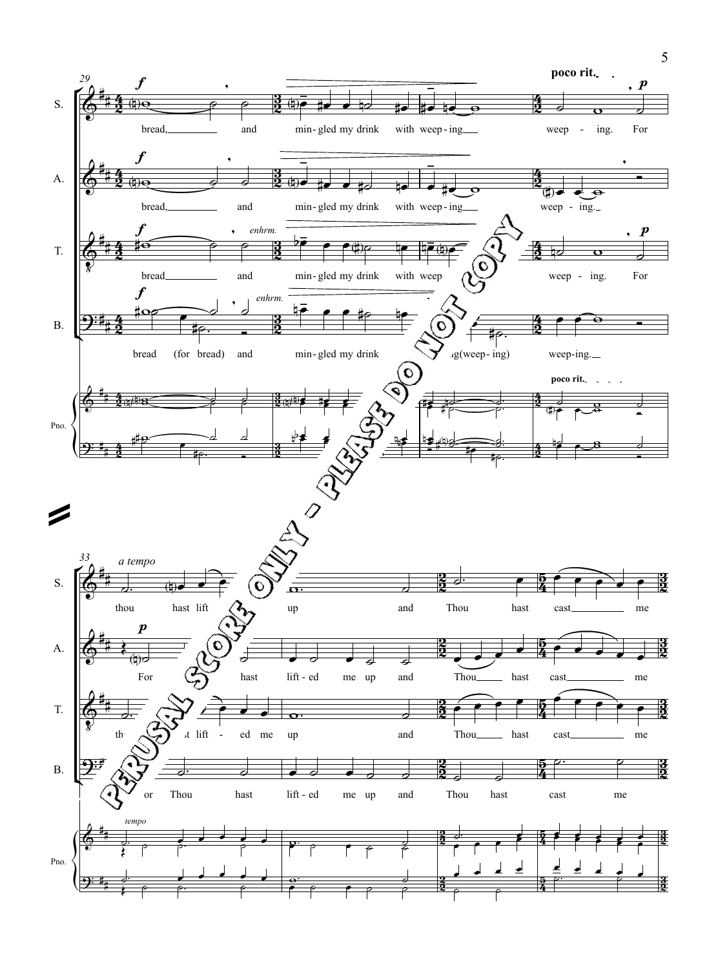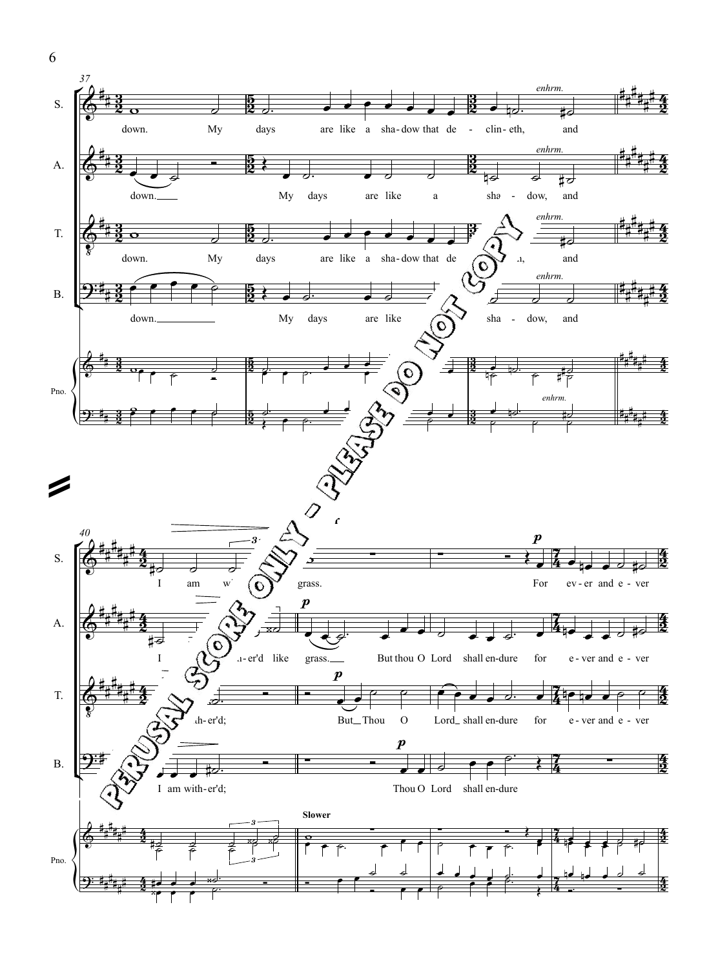

6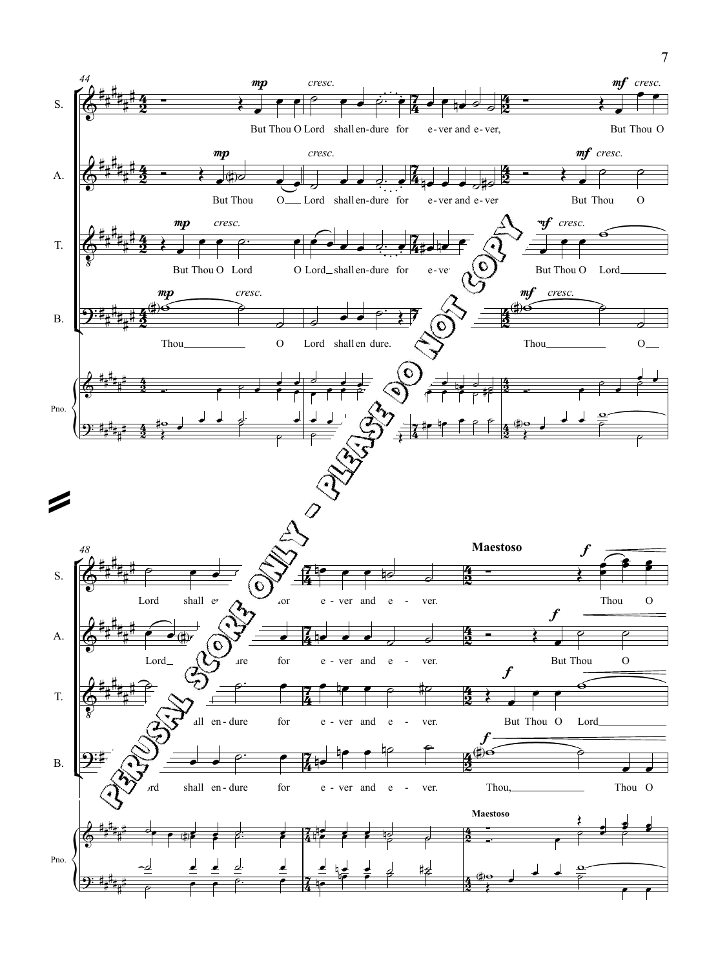